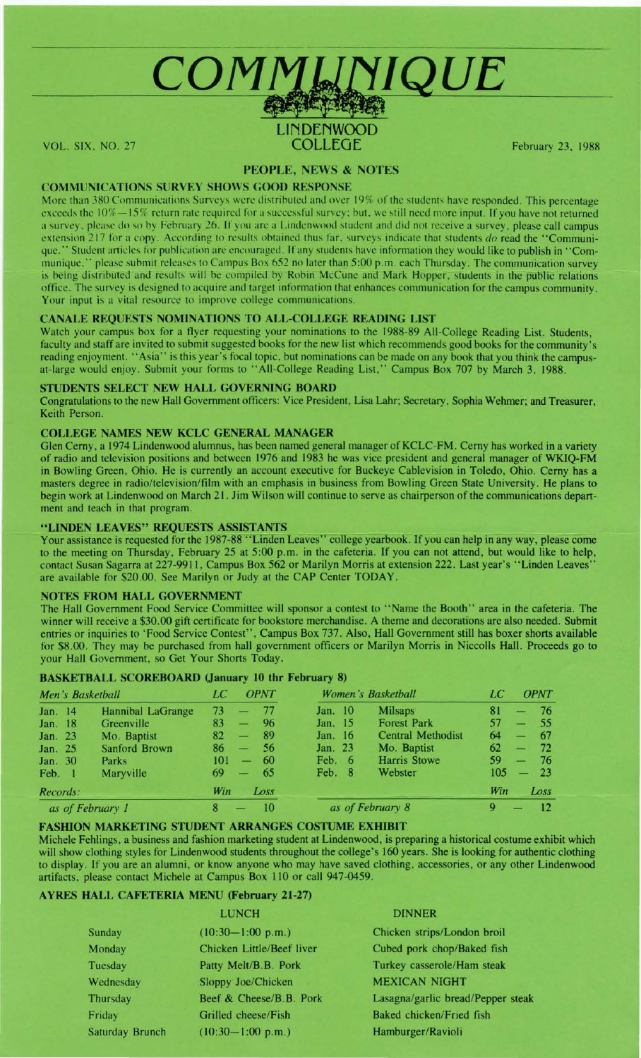

# LINDENWOOD<br>COLLEGE VOL. SIX, NO. 27 COLLEGE February 23, 1988

# **PEOPLE, NEWS** & **NOTES**

# **COM MUNI CATIONS SURVEY SHOWS GOOD RESPONSE**

More than 380 Communications Surveys were distributed and over 19% of the students have responded. This percentage exceeds the 10%-15% return rate required for a successful survey: but, we still need more input. If you have not returned a survey, please do so by February 26. If you arc a Linden wood student and did not receive a survey, please call campus extension 217 for a copy. According to results obtained thus far, surveys indicate that students *do* read the "Communique." Student articles for publication are encouraged. If any students have information they would like to publish in "Com-<br>munique," please submit releases to Campus Box 652 no later than 5:00 p.m. each Thursday. The comm multipues submit releases to Campus Box 652 no later than 5:00 p.m. each Thursday. The communication survey is being distributed and results will be compiled by Robin McCune and Mark Hopper, students in the public relations office. The survey is designed to acquire and target information that enhances communication for the campus community. Your input is a vital resource to improve college communications.

# **CANALE REQUESTS NOMINATIONS TO ALL-COLLEGE READING LIST**

Watch your campus box for a flyer requesting your nominations to the 1988-89 All-College Reading List. Students, faculty and staff are invited to submit suggested books for the new list which recommends good books for the community's reading enjoyment. "Asia" is this year's focal topic, but nominations can be made on any book that you think the campusat-large would enjoy. Submit your forms to "All-College Reading List," Campus Box 707 by March 3, 1988.

### **STUDENTS SELECT NEW HALL GOVERNING BOARD**

Congratulations to the new Hall Government officers: Vice President, Lisa Lahr; Secretary, Sophia Wehmer; and Treasurer, Keith Person.

# **COLLEGE NAMES NEW KCLC GENERAL MANAGER**

Glen Cerny, a 1974 Lindenwood alumnus, has been named general manager of **KCLC-FM.** Cerny has worked in a variety of radio and television positions and between 1976 and 1983 he was vice president and general manager of **WK.IQ-FM**  in Bowling Green, Ohio. He is currently an account executive for Buckeye Cablevision in Toledo, Ohio. Cerny has a masters degree in radio/television/film with an emphasis in business from Bowling Green State University. He plans to begin work at Lindenwood on March 21. Jim Wilson will continue to serve as chairperson of the communications department and teach in that program.

# **"LINDEN LEAVES" REQUESTS ASSISTANTS**

Your assistance is requested for the 1987-88 "Linden Leaves" college yearbook. If you can help in any way, please come to the meeting on Thursday, February 25 at 5:00 p.m. in the cafeteria. If you can not attend, but would like to help, contact Susan Sagarra at 227-9911, Campus Box 562 or Marilyn Morris at extension 222. Last year's "Linden Leaves" are available for \$20.00. See Marilyn or Judy at the CAP Center TODAY.

### **NOTES FROM HALL GOVERNMENT**

The Hall Government Food Service Committee will sponsor a contest to "Name the Booth" area in the cafeteria. The winner will receive a \$30.00 gift certificate for bookstore merchandise. A theme and decorations are also needed. Submit entries or inquiries to 'Food Service Contest", Campus Box 737. Also, Hall Government still has boxer shorts available for \$8.00. They may be purchased from hall government officers or Marilyn Morris in Niccolls Hall. Proceeds go to your Hall Government, so Get Your Shorts Today.

### **BASKETBALL SCOREBOARD (January 10 thr February 8)**

| Men's Basketball |                          | LC  | <b>OPNT</b>              |                        | Women's Basketball |  | LC                       | <b>OPNT</b> |               |       |
|------------------|--------------------------|-----|--------------------------|------------------------|--------------------|--|--------------------------|-------------|---------------|-------|
| Jan. 14          | <b>Hannibal LaGrange</b> | 73  |                          | -77                    | <b>Jan.</b> 10     |  | <b>Milsaps</b>           | 81          |               | $-76$ |
| Jan. 18          | Greenville               | 83  | $\overline{\phantom{0}}$ | 96                     | Jan. 15            |  | <b>Forest Park</b>       | 57          |               | $-55$ |
| Jan. 23          | Mo. Baptist              | 82  | ـــ                      | 89                     | Jan. 16            |  | <b>Central Methodist</b> | 64          |               | $-67$ |
| Jan. 25          | Sanford Brown            | 86  | $\overline{\phantom{m}}$ | -56                    | Jan. 23            |  | Mo. Baptist              | 62          | $\frac{1}{2}$ | 72    |
| Jan. 30          | Parks                    | 101 | -                        | 60                     | Feb. 6             |  | <b>Harris Stowe</b>      | 59          | -             | - 76  |
| Feb. 1           | Maryville                | 69  | سند                      | -65                    | Feb. 8             |  | Webster                  | 105         |               | $-23$ |
| Records:         |                          | Win |                          | Loss                   |                    |  |                          | Win         |               | Loss  |
| as of February 1 |                          | 8   |                          | as of February 8<br>10 |                    |  |                          | 9           |               | 12    |

### **FASHION MARKETING STUDENT ARRANGES COSTUME EXHIBIT**

Michele Fehlings, a business and fashion marketing student at Lindenwood, is preparing a historical costume exhibit which will show clothing styles for Lindenwood students throughout the college's 160 years. She is looking for authentic clothing to display. If you are an alumni, or know anyone who may have saved clothing, accessories, or any other Lindenwood artifacts, please contact Michele at Campus Box 110 or call 947-0459.

# **AYRES HALL CAFETERIA MENU (February 21-27)**

|                 | <b>LUNCH</b>              | <b>DINNER</b>                     |  |  |
|-----------------|---------------------------|-----------------------------------|--|--|
| Sunday          | $(10:30-1:00 p.m.)$       | Chicken strips/London broil       |  |  |
| Monday          | Chicken Little/Beef liver | Cubed pork chop/Baked fish        |  |  |
| Tuesday         | Patty Melt/B.B. Pork      | Turkey casserole/Ham steak        |  |  |
| Wednesday       | Sloppy Joe/Chicken        | <b>MEXICAN NIGHT</b>              |  |  |
| Thursday        | Beef & Cheese/B.B. Pork   | Lasagna/garlic bread/Pepper steak |  |  |
| Friday          | Grilled cheese/Fish       | Baked chicken/Fried fish          |  |  |
| Saturday Brunch | $(10:30-1:00 p.m.)$       | Hamburger/Ravioli                 |  |  |